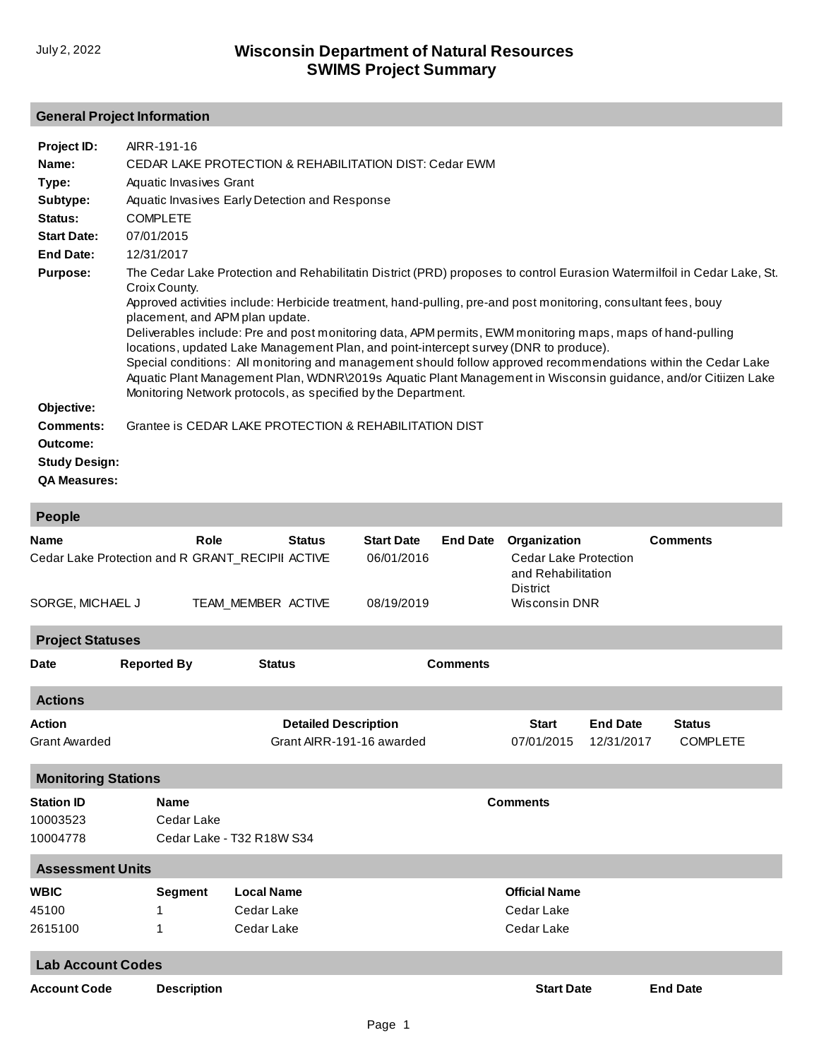## **General Project Information**

| Project ID:          | AIRR-191-16                                                                                                                                                                                                                                                                                                                                                                                                                                                                                                                                                                                                                                                                                                                              |
|----------------------|------------------------------------------------------------------------------------------------------------------------------------------------------------------------------------------------------------------------------------------------------------------------------------------------------------------------------------------------------------------------------------------------------------------------------------------------------------------------------------------------------------------------------------------------------------------------------------------------------------------------------------------------------------------------------------------------------------------------------------------|
| Name:                | CEDAR LAKE PROTECTION & REHABILITATION DIST: Cedar EWM                                                                                                                                                                                                                                                                                                                                                                                                                                                                                                                                                                                                                                                                                   |
| Type:                | Aquatic Invasives Grant                                                                                                                                                                                                                                                                                                                                                                                                                                                                                                                                                                                                                                                                                                                  |
| Subtype:             | Aquatic Invasives Early Detection and Response                                                                                                                                                                                                                                                                                                                                                                                                                                                                                                                                                                                                                                                                                           |
| Status:              | <b>COMPLETE</b>                                                                                                                                                                                                                                                                                                                                                                                                                                                                                                                                                                                                                                                                                                                          |
| <b>Start Date:</b>   | 07/01/2015                                                                                                                                                                                                                                                                                                                                                                                                                                                                                                                                                                                                                                                                                                                               |
| End Date:            | 12/31/2017                                                                                                                                                                                                                                                                                                                                                                                                                                                                                                                                                                                                                                                                                                                               |
| <b>Purpose:</b>      | The Cedar Lake Protection and Rehabilitatin District (PRD) proposes to control Eurasion Watermilfoil in Cedar Lake, St.<br>Croix County.<br>Approved activities include: Herbicide treatment, hand-pulling, pre-and post monitoring, consultant fees, bouy<br>placement, and APM plan update.<br>Deliverables include: Pre and post monitoring data, APM permits, EWM monitoring maps, maps of hand-pulling<br>locations, updated Lake Management Plan, and point-intercept survey (DNR to produce).<br>Special conditions: All monitoring and management should follow approved recommendations within the Cedar Lake<br>Aquatic Plant Management Plan, WDNR\2019s Aquatic Plant Management in Wisconsin guidance, and/or Citiizen Lake |
|                      | Monitoring Network protocols, as specified by the Department.                                                                                                                                                                                                                                                                                                                                                                                                                                                                                                                                                                                                                                                                            |
| Objective:           |                                                                                                                                                                                                                                                                                                                                                                                                                                                                                                                                                                                                                                                                                                                                          |
| <b>Comments:</b>     | Grantee is CEDAR LAKE PROTECTION & REHABILITATION DIST                                                                                                                                                                                                                                                                                                                                                                                                                                                                                                                                                                                                                                                                                   |
| Outcome:             |                                                                                                                                                                                                                                                                                                                                                                                                                                                                                                                                                                                                                                                                                                                                          |
| <b>Study Design:</b> |                                                                                                                                                                                                                                                                                                                                                                                                                                                                                                                                                                                                                                                                                                                                          |
|                      |                                                                                                                                                                                                                                                                                                                                                                                                                                                                                                                                                                                                                                                                                                                                          |

**QA Measures:**

| <b>People</b>                                                                       |                                                                           |                                               |                                                          |                 |                                                                                                        |                               |                                  |  |  |  |
|-------------------------------------------------------------------------------------|---------------------------------------------------------------------------|-----------------------------------------------|----------------------------------------------------------|-----------------|--------------------------------------------------------------------------------------------------------|-------------------------------|----------------------------------|--|--|--|
| <b>Name</b><br>Cedar Lake Protection and R GRANT_RECIPII ACTIVE<br>SORGE, MICHAEL J | Role                                                                      | <b>Status</b><br>TEAM MEMBER ACTIVE           | <b>Start Date</b><br>06/01/2016<br>08/19/2019            | <b>End Date</b> | Organization<br><b>Cedar Lake Protection</b><br>and Rehabilitation<br>District<br><b>Wisconsin DNR</b> |                               | <b>Comments</b>                  |  |  |  |
|                                                                                     |                                                                           |                                               |                                                          |                 |                                                                                                        |                               |                                  |  |  |  |
| <b>Project Statuses</b>                                                             |                                                                           |                                               |                                                          |                 |                                                                                                        |                               |                                  |  |  |  |
| <b>Date</b>                                                                         | <b>Reported By</b>                                                        | <b>Status</b>                                 |                                                          | <b>Comments</b> |                                                                                                        |                               |                                  |  |  |  |
| <b>Actions</b>                                                                      |                                                                           |                                               |                                                          |                 |                                                                                                        |                               |                                  |  |  |  |
| <b>Action</b><br><b>Grant Awarded</b>                                               |                                                                           |                                               | <b>Detailed Description</b><br>Grant AIRR-191-16 awarded |                 | <b>Start</b><br>07/01/2015                                                                             | <b>End Date</b><br>12/31/2017 | <b>Status</b><br><b>COMPLETE</b> |  |  |  |
|                                                                                     | <b>Monitoring Stations</b>                                                |                                               |                                                          |                 |                                                                                                        |                               |                                  |  |  |  |
| <b>Station ID</b><br>10003523<br>10004778                                           | <b>Name</b><br><b>Comments</b><br>Cedar Lake<br>Cedar Lake - T32 R18W S34 |                                               |                                                          |                 |                                                                                                        |                               |                                  |  |  |  |
| <b>Assessment Units</b>                                                             |                                                                           |                                               |                                                          |                 |                                                                                                        |                               |                                  |  |  |  |
| <b>WBIC</b><br>45100<br>2615100                                                     | <b>Segment</b><br>1<br>1                                                  | <b>Local Name</b><br>Cedar Lake<br>Cedar Lake |                                                          |                 | <b>Official Name</b><br>Cedar Lake<br>Cedar Lake                                                       |                               |                                  |  |  |  |
| <b>Lab Account Codes</b>                                                            |                                                                           |                                               |                                                          |                 |                                                                                                        |                               |                                  |  |  |  |
| <b>Account Code</b>                                                                 | <b>Description</b>                                                        |                                               |                                                          |                 | <b>Start Date</b>                                                                                      |                               | <b>End Date</b>                  |  |  |  |